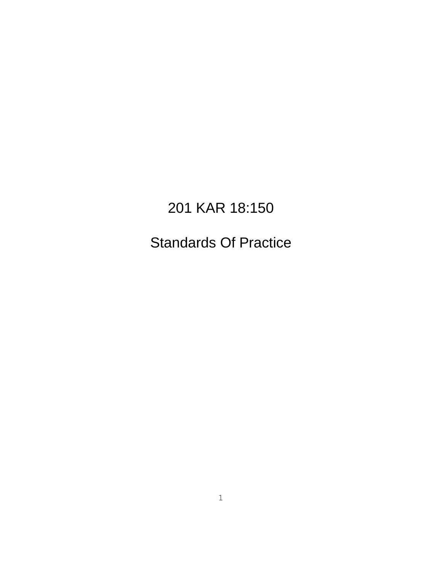# 201 KAR 18:150

# Standards Of Practice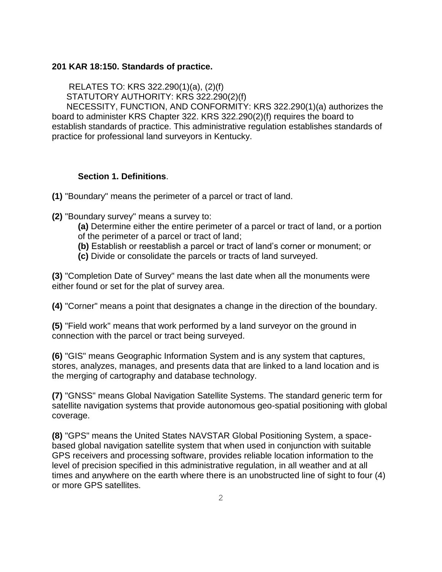#### **201 KAR 18:150. Standards of practice.**

RELATES TO: KRS 322.290(1)(a), (2)(f)

STATUTORY AUTHORITY: KRS 322.290(2)(f)

 NECESSITY, FUNCTION, AND CONFORMITY: KRS 322.290(1)(a) authorizes the board to administer KRS Chapter 322. KRS 322.290(2)(f) requires the board to establish standards of practice. This administrative regulation establishes standards of practice for professional land surveyors in Kentucky.

#### **Section 1. Definitions**.

**(1)** "Boundary" means the perimeter of a parcel or tract of land.

- **(2)** "Boundary survey" means a survey to:
	- **(a)** Determine either the entire perimeter of a parcel or tract of land, or a portion of the perimeter of a parcel or tract of land;
	- **(b)** Establish or reestablish a parcel or tract of land's corner or monument; or
	- **(c)** Divide or consolidate the parcels or tracts of land surveyed.

**(3)** "Completion Date of Survey" means the last date when all the monuments were either found or set for the plat of survey area.

**(4)** "Corner" means a point that designates a change in the direction of the boundary.

**(5)** "Field work" means that work performed by a land surveyor on the ground in connection with the parcel or tract being surveyed.

**(6)** "GIS" means Geographic Information System and is any system that captures, stores, analyzes, manages, and presents data that are linked to a land location and is the merging of cartography and database technology.

**(7)** "GNSS" means Global Navigation Satellite Systems. The standard generic term for satellite navigation systems that provide autonomous geo-spatial positioning with global coverage.

**(8)** "GPS" means the United States NAVSTAR Global Positioning System, a spacebased global navigation satellite system that when used in conjunction with suitable GPS receivers and processing software, provides reliable location information to the level of precision specified in this administrative regulation, in all weather and at all times and anywhere on the earth where there is an unobstructed line of sight to four (4) or more GPS satellites.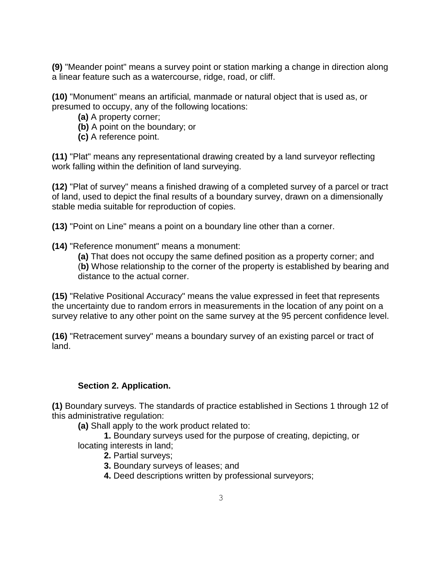**(9)** "Meander point" means a survey point or station marking a change in direction along a linear feature such as a watercourse, ridge, road, or cliff.

**(10)** "Monument" means an artificial*,* manmade or natural object that is used as, or presumed to occupy, any of the following locations:

- **(a)** A property corner;
- **(b)** A point on the boundary; or
- **(c)** A reference point.

**(11)** "Plat" means any representational drawing created by a land surveyor reflecting work falling within the definition of land surveying.

**(12)** "Plat of survey" means a finished drawing of a completed survey of a parcel or tract of land, used to depict the final results of a boundary survey, drawn on a dimensionally stable media suitable for reproduction of copies.

**(13)** "Point on Line" means a point on a boundary line other than a corner.

**(14)** "Reference monument" means a monument:

**(a)** That does not occupy the same defined position as a property corner; and (**b)** Whose relationship to the corner of the property is established by bearing and distance to the actual corner.

**(15)** "Relative Positional Accuracy" means the value expressed in feet that represents the uncertainty due to random errors in measurements in the location of any point on a survey relative to any other point on the same survey at the 95 percent confidence level.

**(16)** "Retracement survey" means a boundary survey of an existing parcel or tract of land.

#### **Section 2. Application.**

**(1)** Boundary surveys. The standards of practice established in Sections 1 through 12 of this administrative regulation:

**(a)** Shall apply to the work product related to:

**1.** Boundary surveys used for the purpose of creating, depicting, or locating interests in land;

- **2.** Partial surveys;
- **3.** Boundary surveys of leases; and
- **4.** Deed descriptions written by professional surveyors;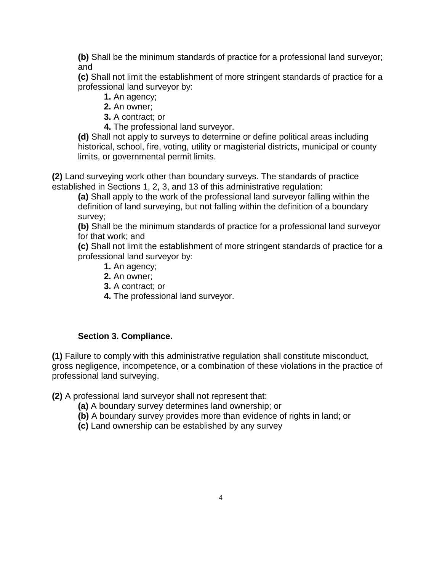**(b)** Shall be the minimum standards of practice for a professional land surveyor; and

 **(c)** Shall not limit the establishment of more stringent standards of practice for a professional land surveyor by:

- **1.** An agency;
- **2.** An owner;
- **3.** A contract; or
- **4.** The professional land surveyor.

 **(d)** Shall not apply to surveys to determine or define political areas including historical, school, fire, voting, utility or magisterial districts, municipal or county limits, or governmental permit limits.

**(2)** Land surveying work other than boundary surveys. The standards of practice established in Sections 1, 2, 3, and 13 of this administrative regulation:

 **(a)** Shall apply to the work of the professional land surveyor falling within the definition of land surveying, but not falling within the definition of a boundary survey;

 **(b)** Shall be the minimum standards of practice for a professional land surveyor for that work; and

 **(c)** Shall not limit the establishment of more stringent standards of practice for a professional land surveyor by:

- **1.** An agency;
- **2.** An owner;
- **3.** A contract; or
- **4.** The professional land surveyor.

#### **Section 3. Compliance.**

**(1)** Failure to comply with this administrative regulation shall constitute misconduct, gross negligence, incompetence, or a combination of these violations in the practice of professional land surveying.

**(2)** A professional land surveyor shall not represent that:

- **(a)** A boundary survey determines land ownership; or
- **(b)** A boundary survey provides more than evidence of rights in land; or
- **(c)** Land ownership can be established by any survey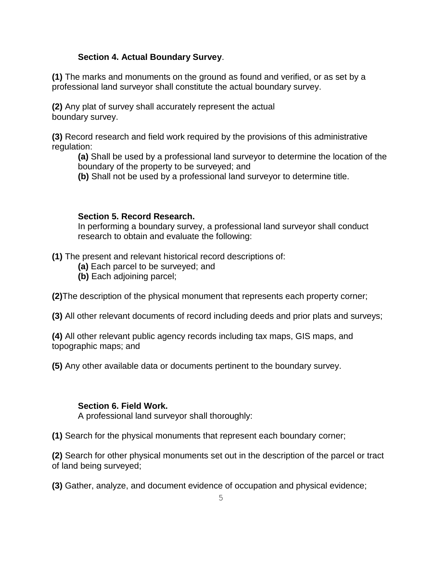#### **Section 4. Actual Boundary Survey**.

**(1)** The marks and monuments on the ground as found and verified, or as set by a professional land surveyor shall constitute the actual boundary survey.

**(2)** Any plat of survey shall accurately represent the actual boundary survey.

**(3)** Record research and field work required by the provisions of this administrative regulation:

**(a)** Shall be used by a professional land surveyor to determine the location of the boundary of the property to be surveyed; and

**(b)** Shall not be used by a professional land surveyor to determine title.

#### **Section 5. Record Research.**

In performing a boundary survey, a professional land surveyor shall conduct research to obtain and evaluate the following:

**(1)** The present and relevant historical record descriptions of:

- **(a)** Each parcel to be surveyed; and
- **(b)** Each adjoining parcel;

**(2)**The description of the physical monument that represents each property corner;

**(3)** All other relevant documents of record including deeds and prior plats and surveys;

**(4)** All other relevant public agency records including tax maps, GIS maps, and topographic maps; and

**(5)** Any other available data or documents pertinent to the boundary survey.

#### **Section 6. Field Work.**

A professional land surveyor shall thoroughly:

**(1)** Search for the physical monuments that represent each boundary corner;

**(2)** Search for other physical monuments set out in the description of the parcel or tract of land being surveyed;

**(3)** Gather, analyze, and document evidence of occupation and physical evidence;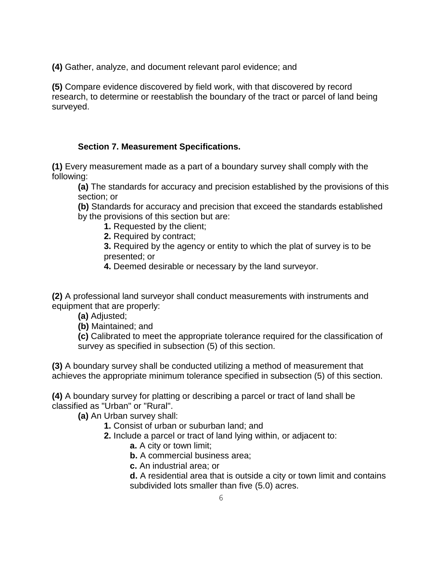**(4)** Gather, analyze, and document relevant parol evidence; and

**(5)** Compare evidence discovered by field work, with that discovered by record research, to determine or reestablish the boundary of the tract or parcel of land being surveyed.

#### **Section 7. Measurement Specifications.**

**(1)** Every measurement made as a part of a boundary survey shall comply with the following:

**(a)** The standards for accuracy and precision established by the provisions of this section; or

**(b)** Standards for accuracy and precision that exceed the standards established by the provisions of this section but are:

**1.** Requested by the client;

**2.** Required by contract;

**3.** Required by the agency or entity to which the plat of survey is to be presented; or

**4.** Deemed desirable or necessary by the land surveyor.

**(2)** A professional land surveyor shall conduct measurements with instruments and equipment that are properly:

**(a)** Adjusted;

**(b)** Maintained; and

**(c)** Calibrated to meet the appropriate tolerance required for the classification of survey as specified in subsection (5) of this section.

**(3)** A boundary survey shall be conducted utilizing a method of measurement that achieves the appropriate minimum tolerance specified in subsection (5) of this section.

**(4)** A boundary survey for platting or describing a parcel or tract of land shall be classified as "Urban" or "Rural".

**(a)** An Urban survey shall:

**1.** Consist of urban or suburban land; and

**2.** Include a parcel or tract of land lying within, or adjacent to:

**a.** A city or town limit;

**b.** A commercial business area;

**c.** An industrial area; or

**d.** A residential area that is outside a city or town limit and contains subdivided lots smaller than five (5.0) acres.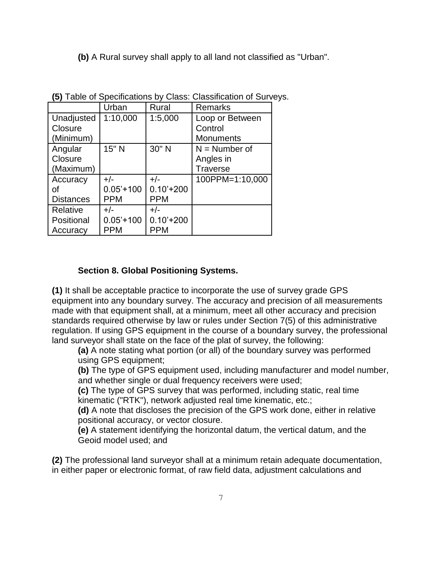**(b)** A Rural survey shall apply to all land not classified as "Urban".

|                  | Urban       | Rural       | <b>Remarks</b>   |
|------------------|-------------|-------------|------------------|
| Unadjusted       | 1:10,000    | 1:5,000     | Loop or Between  |
| Closure          |             |             | Control          |
| (Minimum)        |             |             | <b>Monuments</b> |
| Angular          | 15" N       | 30" N       | $N =$ Number of  |
| Closure          |             |             | Angles in        |
| (Maximum)        |             |             | <b>Traverse</b>  |
| Accuracy         | $+/-$       | $+/-$       | 100PPM=1:10,000  |
| оf               | $0.05'+100$ | $0.10'+200$ |                  |
| <b>Distances</b> | <b>PPM</b>  | <b>PPM</b>  |                  |
| Relative         | $+/-$       | $+/-$       |                  |
| Positional       | $0.05'+100$ | $0.10'+200$ |                  |
| Accuracy         | <b>PPM</b>  | <b>PPM</b>  |                  |

**(5)** Table of Specifications by Class: Classification of Surveys.

#### **Section 8. Global Positioning Systems.**

**(1)** It shall be acceptable practice to incorporate the use of survey grade GPS equipment into any boundary survey. The accuracy and precision of all measurements made with that equipment shall, at a minimum, meet all other accuracy and precision standards required otherwise by law or rules under Section 7(5) of this administrative regulation. If using GPS equipment in the course of a boundary survey, the professional land surveyor shall state on the face of the plat of survey, the following:

**(a)** A note stating what portion (or all) of the boundary survey was performed using GPS equipment;

**(b)** The type of GPS equipment used, including manufacturer and model number, and whether single or dual frequency receivers were used;

**(c)** The type of GPS survey that was performed, including static, real time kinematic ("RTK"), network adjusted real time kinematic, etc.;

**(d)** A note that discloses the precision of the GPS work done, either in relative positional accuracy, or vector closure.

**(e)** A statement identifying the horizontal datum, the vertical datum, and the Geoid model used; and

**(2)** The professional land surveyor shall at a minimum retain adequate documentation, in either paper or electronic format, of raw field data, adjustment calculations and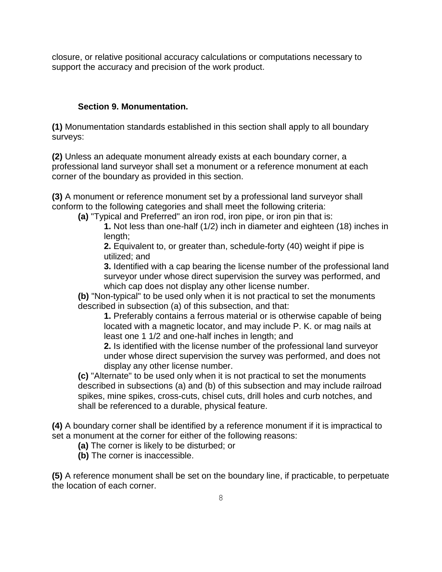closure, or relative positional accuracy calculations or computations necessary to support the accuracy and precision of the work product.

#### **Section 9. Monumentation.**

**(1)** Monumentation standards established in this section shall apply to all boundary surveys:

**(2)** Unless an adequate monument already exists at each boundary corner, a professional land surveyor shall set a monument or a reference monument at each corner of the boundary as provided in this section.

**(3)** A monument or reference monument set by a professional land surveyor shall conform to the following categories and shall meet the following criteria:

**(a)** "Typical and Preferred" an iron rod, iron pipe, or iron pin that is:

**1.** Not less than one-half (1/2) inch in diameter and eighteen (18) inches in length:

**2.** Equivalent to, or greater than, schedule-forty (40) weight if pipe is utilized; and

**3.** Identified with a cap bearing the license number of the professional land surveyor under whose direct supervision the survey was performed, and which cap does not display any other license number.

**(b)** "Non-typical" to be used only when it is not practical to set the monuments described in subsection (a) of this subsection, and that:

**1.** Preferably contains a ferrous material or is otherwise capable of being located with a magnetic locator, and may include P. K. or mag nails at least one 1 1/2 and one-half inches in length; and

**2.** Is identified with the license number of the professional land surveyor under whose direct supervision the survey was performed, and does not display any other license number.

**(c)** "Alternate" to be used only when it is not practical to set the monuments described in subsections (a) and (b) of this subsection and may include railroad spikes, mine spikes, cross-cuts, chisel cuts, drill holes and curb notches, and shall be referenced to a durable, physical feature.

**(4)** A boundary corner shall be identified by a reference monument if it is impractical to set a monument at the corner for either of the following reasons:

**(a)** The corner is likely to be disturbed; or

**(b)** The corner is inaccessible.

**(5)** A reference monument shall be set on the boundary line, if practicable, to perpetuate the location of each corner.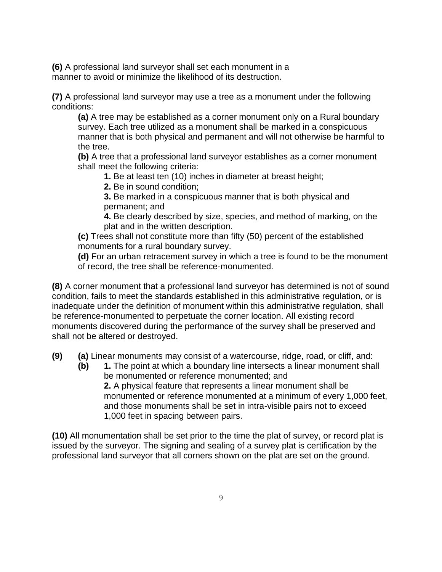**(6)** A professional land surveyor shall set each monument in a manner to avoid or minimize the likelihood of its destruction.

**(7)** A professional land surveyor may use a tree as a monument under the following conditions:

**(a)** A tree may be established as a corner monument only on a Rural boundary survey. Each tree utilized as a monument shall be marked in a conspicuous manner that is both physical and permanent and will not otherwise be harmful to the tree.

**(b)** A tree that a professional land surveyor establishes as a corner monument shall meet the following criteria:

**1.** Be at least ten (10) inches in diameter at breast height;

**2.** Be in sound condition;

**3.** Be marked in a conspicuous manner that is both physical and permanent; and

**4.** Be clearly described by size, species, and method of marking, on the plat and in the written description.

**(c)** Trees shall not constitute more than fifty (50) percent of the established monuments for a rural boundary survey.

**(d)** For an urban retracement survey in which a tree is found to be the monument of record, the tree shall be reference-monumented.

**(8)** A corner monument that a professional land surveyor has determined is not of sound condition, fails to meet the standards established in this administrative regulation, or is inadequate under the definition of monument within this administrative regulation, shall be reference-monumented to perpetuate the corner location. All existing record monuments discovered during the performance of the survey shall be preserved and shall not be altered or destroyed.

**(9) (a)** Linear monuments may consist of a watercourse, ridge, road, or cliff, and:

**(b) 1.** The point at which a boundary line intersects a linear monument shall be monumented or reference monumented; and **2.** A physical feature that represents a linear monument shall be monumented or reference monumented at a minimum of every 1,000 feet, and those monuments shall be set in intra-visible pairs not to exceed 1,000 feet in spacing between pairs.

**(10)** All monumentation shall be set prior to the time the plat of survey, or record plat is issued by the surveyor. The signing and sealing of a survey plat is certification by the professional land surveyor that all corners shown on the plat are set on the ground.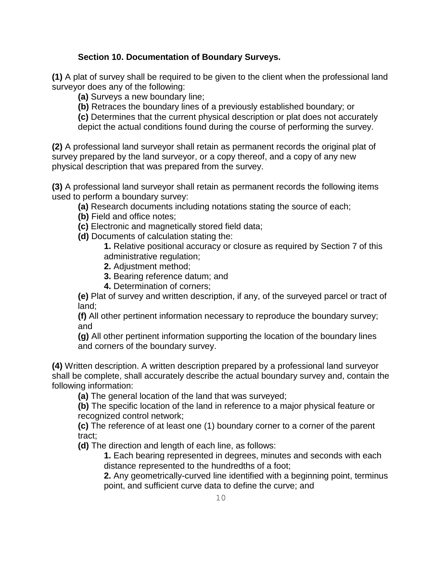#### **Section 10. Documentation of Boundary Surveys.**

**(1)** A plat of survey shall be required to be given to the client when the professional land surveyor does any of the following:

**(a)** Surveys a new boundary line;

**(b)** Retraces the boundary lines of a previously established boundary; or

**(c)** Determines that the current physical description or plat does not accurately depict the actual conditions found during the course of performing the survey.

**(2)** A professional land surveyor shall retain as permanent records the original plat of survey prepared by the land surveyor, or a copy thereof, and a copy of any new physical description that was prepared from the survey.

**(3)** A professional land surveyor shall retain as permanent records the following items used to perform a boundary survey:

**(a)** Research documents including notations stating the source of each;

- **(b)** Field and office notes;
- **(c)** Electronic and magnetically stored field data;
- **(d)** Documents of calculation stating the:

**1.** Relative positional accuracy or closure as required by Section 7 of this administrative regulation;

- **2.** Adjustment method;
- **3.** Bearing reference datum; and
- **4.** Determination of corners;

**(e)** Plat of survey and written description, if any, of the surveyed parcel or tract of land;

**(f)** All other pertinent information necessary to reproduce the boundary survey; and

**(g)** All other pertinent information supporting the location of the boundary lines and corners of the boundary survey.

**(4)** Written description. A written description prepared by a professional land surveyor shall be complete, shall accurately describe the actual boundary survey and, contain the following information:

**(a)** The general location of the land that was surveyed;

**(b)** The specific location of the land in reference to a major physical feature or recognized control network;

**(c)** The reference of at least one (1) boundary corner to a corner of the parent tract;

**(d)** The direction and length of each line, as follows:

**1.** Each bearing represented in degrees, minutes and seconds with each distance represented to the hundredths of a foot;

**2.** Any geometrically-curved line identified with a beginning point, terminus point, and sufficient curve data to define the curve; and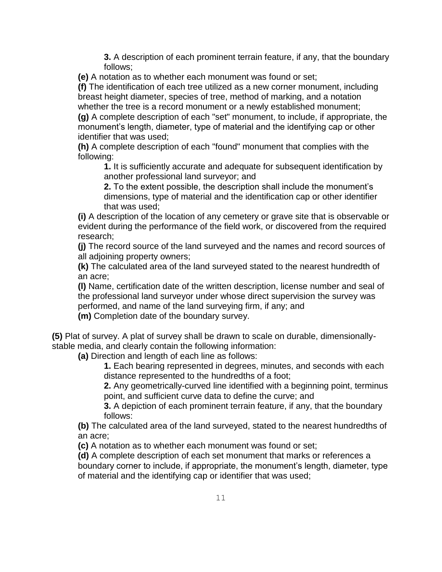**3.** A description of each prominent terrain feature, if any, that the boundary follows;

**(e)** A notation as to whether each monument was found or set;

**(f)** The identification of each tree utilized as a new corner monument, including breast height diameter, species of tree, method of marking, and a notation whether the tree is a record monument or a newly established monument; **(g)** A complete description of each "set" monument, to include, if appropriate, the monument's length, diameter, type of material and the identifying cap or other identifier that was used;

**(h)** A complete description of each "found" monument that complies with the following:

**1.** It is sufficiently accurate and adequate for subsequent identification by another professional land surveyor; and

**2.** To the extent possible, the description shall include the monument's dimensions, type of material and the identification cap or other identifier that was used;

**(i)** A description of the location of any cemetery or grave site that is observable or evident during the performance of the field work, or discovered from the required research;

**(j)** The record source of the land surveyed and the names and record sources of all adjoining property owners;

**(k)** The calculated area of the land surveyed stated to the nearest hundredth of an acre;

**(l)** Name, certification date of the written description, license number and seal of the professional land surveyor under whose direct supervision the survey was performed, and name of the land surveying firm, if any; and

**(m)** Completion date of the boundary survey.

**(5)** Plat of survey. A plat of survey shall be drawn to scale on durable, dimensionallystable media, and clearly contain the following information:

**(a)** Direction and length of each line as follows:

**1.** Each bearing represented in degrees, minutes, and seconds with each distance represented to the hundredths of a foot;

**2.** Any geometrically-curved line identified with a beginning point, terminus point, and sufficient curve data to define the curve; and

**3.** A depiction of each prominent terrain feature, if any, that the boundary follows:

**(b)** The calculated area of the land surveyed, stated to the nearest hundredths of an acre;

**(c)** A notation as to whether each monument was found or set;

**(d)** A complete description of each set monument that marks or references a boundary corner to include, if appropriate, the monument's length, diameter, type of material and the identifying cap or identifier that was used;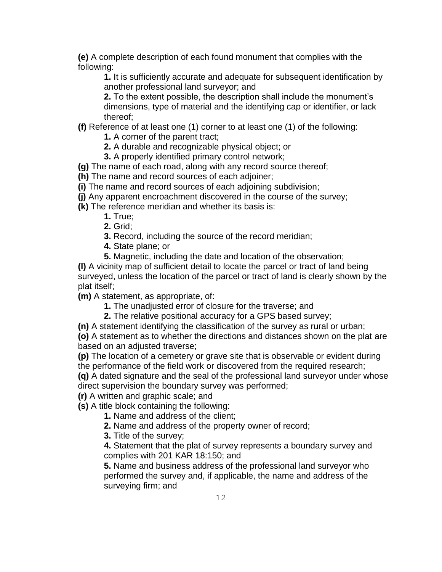**(e)** A complete description of each found monument that complies with the following:

**1.** It is sufficiently accurate and adequate for subsequent identification by another professional land surveyor; and

**2.** To the extent possible, the description shall include the monument's dimensions, type of material and the identifying cap or identifier, or lack thereof;

**(f)** Reference of at least one (1) corner to at least one (1) of the following:

**1.** A corner of the parent tract;

**2.** A durable and recognizable physical object; or

**3.** A properly identified primary control network;

**(g)** The name of each road, along with any record source thereof;

**(h)** The name and record sources of each adjoiner;

**(i)** The name and record sources of each adjoining subdivision;

**(j)** Any apparent encroachment discovered in the course of the survey;

**(k)** The reference meridian and whether its basis is:

**1.** True;

**2.** Grid;

**3.** Record, including the source of the record meridian;

**4.** State plane; or

**5.** Magnetic, including the date and location of the observation;

**(l)** A vicinity map of sufficient detail to locate the parcel or tract of land being surveyed, unless the location of the parcel or tract of land is clearly shown by the plat itself;

**(m)** A statement, as appropriate, of:

**1.** The unadjusted error of closure for the traverse; and

**2.** The relative positional accuracy for a GPS based survey;

**(n)** A statement identifying the classification of the survey as rural or urban;

**(o)** A statement as to whether the directions and distances shown on the plat are based on an adjusted traverse;

**(p)** The location of a cemetery or grave site that is observable or evident during the performance of the field work or discovered from the required research;

**(q)** A dated signature and the seal of the professional land surveyor under whose direct supervision the boundary survey was performed;

**(r)** A written and graphic scale; and

**(s)** A title block containing the following:

**1.** Name and address of the client;

**2.** Name and address of the property owner of record;

**3.** Title of the survey;

**4.** Statement that the plat of survey represents a boundary survey and complies with 201 KAR 18:150; and

**5.** Name and business address of the professional land surveyor who performed the survey and, if applicable, the name and address of the surveying firm; and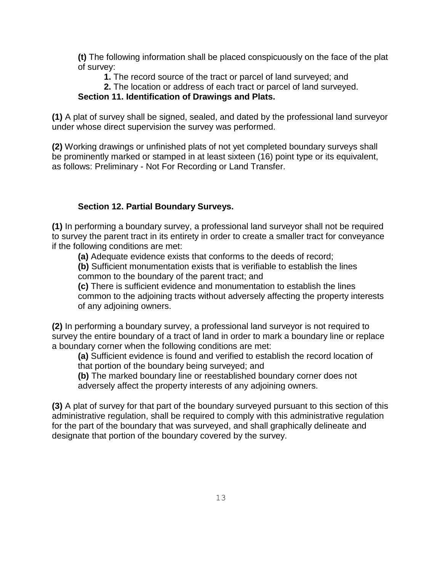**(t)** The following information shall be placed conspicuously on the face of the plat of survey:

**1.** The record source of the tract or parcel of land surveyed; and

## **2.** The location or address of each tract or parcel of land surveyed.

#### **Section 11. Identification of Drawings and Plats.**

**(1)** A plat of survey shall be signed, sealed, and dated by the professional land surveyor under whose direct supervision the survey was performed.

**(2)** Working drawings or unfinished plats of not yet completed boundary surveys shall be prominently marked or stamped in at least sixteen (16) point type or its equivalent, as follows: Preliminary - Not For Recording or Land Transfer.

#### **Section 12. Partial Boundary Surveys.**

**(1)** In performing a boundary survey, a professional land surveyor shall not be required to survey the parent tract in its entirety in order to create a smaller tract for conveyance if the following conditions are met:

**(a)** Adequate evidence exists that conforms to the deeds of record;

**(b)** Sufficient monumentation exists that is verifiable to establish the lines common to the boundary of the parent tract; and

**(c)** There is sufficient evidence and monumentation to establish the lines common to the adjoining tracts without adversely affecting the property interests of any adjoining owners.

**(2)** In performing a boundary survey, a professional land surveyor is not required to survey the entire boundary of a tract of land in order to mark a boundary line or replace a boundary corner when the following conditions are met:

**(a)** Sufficient evidence is found and verified to establish the record location of that portion of the boundary being surveyed; and

**(b)** The marked boundary line or reestablished boundary corner does not adversely affect the property interests of any adjoining owners.

**(3)** A plat of survey for that part of the boundary surveyed pursuant to this section of this administrative regulation, shall be required to comply with this administrative regulation for the part of the boundary that was surveyed, and shall graphically delineate and designate that portion of the boundary covered by the survey.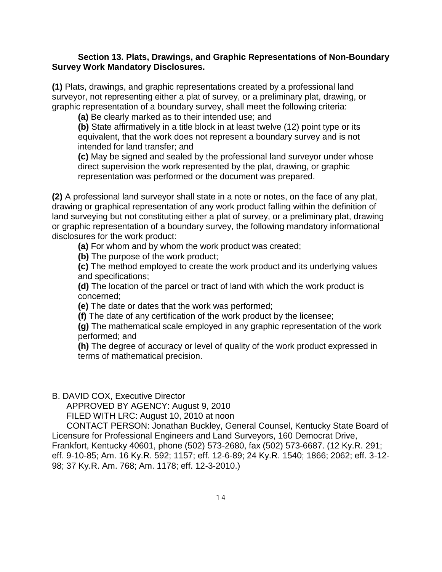#### **Section 13. Plats, Drawings, and Graphic Representations of Non-Boundary Survey Work Mandatory Disclosures.**

**(1)** Plats, drawings, and graphic representations created by a professional land surveyor, not representing either a plat of survey, or a preliminary plat, drawing, or graphic representation of a boundary survey, shall meet the following criteria:

**(a)** Be clearly marked as to their intended use; and

**(b)** State affirmatively in a title block in at least twelve (12) point type or its equivalent, that the work does not represent a boundary survey and is not intended for land transfer; and

**(c)** May be signed and sealed by the professional land surveyor under whose direct supervision the work represented by the plat, drawing, or graphic representation was performed or the document was prepared.

**(2)** A professional land surveyor shall state in a note or notes, on the face of any plat, drawing or graphical representation of any work product falling within the definition of land surveying but not constituting either a plat of survey, or a preliminary plat, drawing or graphic representation of a boundary survey, the following mandatory informational disclosures for the work product:

**(a)** For whom and by whom the work product was created;

**(b)** The purpose of the work product;

**(c)** The method employed to create the work product and its underlying values and specifications;

**(d)** The location of the parcel or tract of land with which the work product is concerned;

**(e)** The date or dates that the work was performed;

**(f)** The date of any certification of the work product by the licensee;

**(g)** The mathematical scale employed in any graphic representation of the work performed; and

**(h)** The degree of accuracy or level of quality of the work product expressed in terms of mathematical precision.

B. DAVID COX, Executive Director

APPROVED BY AGENCY: August 9, 2010

FILED WITH LRC: August 10, 2010 at noon

 CONTACT PERSON: Jonathan Buckley, General Counsel, Kentucky State Board of Licensure for Professional Engineers and Land Surveyors, 160 Democrat Drive, Frankfort, Kentucky 40601, phone (502) 573-2680, fax (502) 573-6687. (12 Ky.R. 291; eff. 9-10-85; Am. 16 Ky.R. 592; 1157; eff. 12-6-89; 24 Ky.R. 1540; 1866; 2062; eff. 3-12- 98; 37 Ky.R. Am. 768; Am. 1178; eff. 12-3-2010.)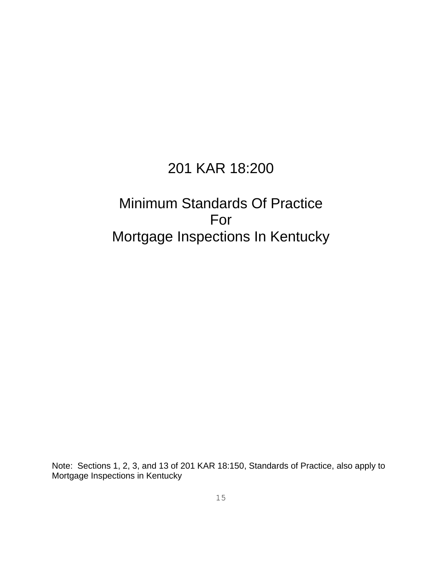## 201 KAR 18:200

## Minimum Standards Of Practice For Mortgage Inspections In Kentucky

Note: Sections 1, 2, 3, and 13 of 201 KAR 18:150, Standards of Practice, also apply to Mortgage Inspections in Kentucky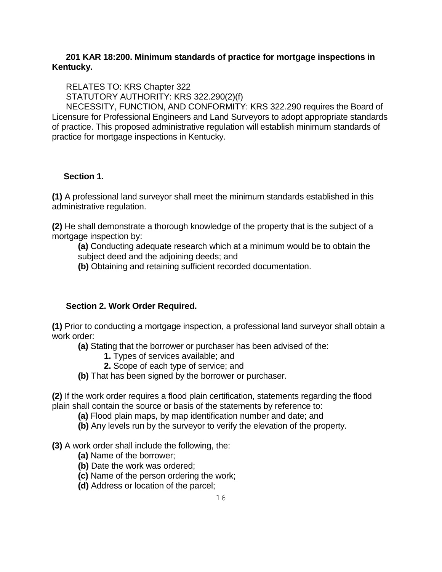#### **201 KAR 18:200. Minimum standards of practice for mortgage inspections in Kentucky.**

RELATES TO: KRS Chapter 322

STATUTORY AUTHORITY: KRS 322.290(2)(f)

 NECESSITY, FUNCTION, AND CONFORMITY: KRS 322.290 requires the Board of Licensure for Professional Engineers and Land Surveyors to adopt appropriate standards of practice. This proposed administrative regulation will establish minimum standards of practice for mortgage inspections in Kentucky.

#### **Section 1.**

**(1)** A professional land surveyor shall meet the minimum standards established in this administrative regulation.

**(2)** He shall demonstrate a thorough knowledge of the property that is the subject of a mortgage inspection by:

**(a)** Conducting adequate research which at a minimum would be to obtain the subject deed and the adjoining deeds; and

**(b)** Obtaining and retaining sufficient recorded documentation.

#### **Section 2. Work Order Required.**

**(1)** Prior to conducting a mortgage inspection, a professional land surveyor shall obtain a work order:

**(a)** Stating that the borrower or purchaser has been advised of the:

- **1.** Types of services available; and
- **2.** Scope of each type of service; and
- **(b)** That has been signed by the borrower or purchaser.

**(2)** If the work order requires a flood plain certification, statements regarding the flood plain shall contain the source or basis of the statements by reference to:

- **(a)** Flood plain maps, by map identification number and date; and
- **(b)** Any levels run by the surveyor to verify the elevation of the property.

#### **(3)** A work order shall include the following, the:

- **(a)** Name of the borrower;
- **(b)** Date the work was ordered;
- **(c)** Name of the person ordering the work;
- **(d)** Address or location of the parcel;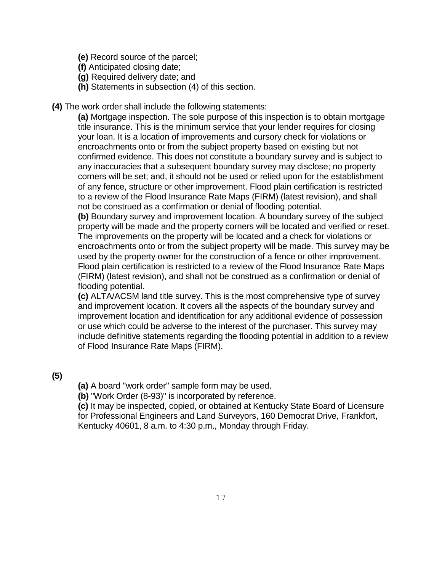- **(e)** Record source of the parcel;
- **(f)** Anticipated closing date;
- **(g)** Required delivery date; and
- **(h)** Statements in subsection (4) of this section.
- **(4)** The work order shall include the following statements:

**(a)** Mortgage inspection. The sole purpose of this inspection is to obtain mortgage title insurance. This is the minimum service that your lender requires for closing your loan. It is a location of improvements and cursory check for violations or encroachments onto or from the subject property based on existing but not confirmed evidence. This does not constitute a boundary survey and is subject to any inaccuracies that a subsequent boundary survey may disclose; no property corners will be set; and, it should not be used or relied upon for the establishment of any fence, structure or other improvement. Flood plain certification is restricted to a review of the Flood Insurance Rate Maps (FIRM) (latest revision), and shall not be construed as a confirmation or denial of flooding potential.

**(b)** Boundary survey and improvement location. A boundary survey of the subject property will be made and the property corners will be located and verified or reset. The improvements on the property will be located and a check for violations or encroachments onto or from the subject property will be made. This survey may be used by the property owner for the construction of a fence or other improvement. Flood plain certification is restricted to a review of the Flood Insurance Rate Maps (FIRM) (latest revision), and shall not be construed as a confirmation or denial of flooding potential.

**(c)** ALTA/ACSM land title survey. This is the most comprehensive type of survey and improvement location. It covers all the aspects of the boundary survey and improvement location and identification for any additional evidence of possession or use which could be adverse to the interest of the purchaser. This survey may include definitive statements regarding the flooding potential in addition to a review of Flood Insurance Rate Maps (FIRM).

**(5)**

**(a)** A board "work order" sample form may be used.

**(b)** "Work Order (8-93)" is incorporated by reference.

**(c)** It may be inspected, copied, or obtained at Kentucky State Board of Licensure for Professional Engineers and Land Surveyors, 160 Democrat Drive, Frankfort, Kentucky 40601, 8 a.m. to 4:30 p.m., Monday through Friday.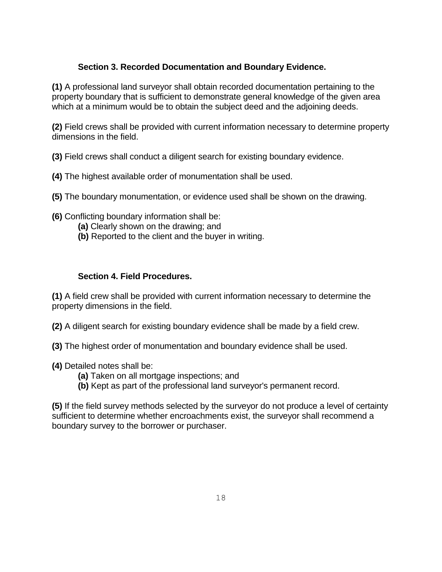#### **Section 3. Recorded Documentation and Boundary Evidence.**

**(1)** A professional land surveyor shall obtain recorded documentation pertaining to the property boundary that is sufficient to demonstrate general knowledge of the given area which at a minimum would be to obtain the subject deed and the adjoining deeds.

**(2)** Field crews shall be provided with current information necessary to determine property dimensions in the field.

**(3)** Field crews shall conduct a diligent search for existing boundary evidence.

- **(4)** The highest available order of monumentation shall be used.
- **(5)** The boundary monumentation, or evidence used shall be shown on the drawing.
- **(6)** Conflicting boundary information shall be:
	- **(a)** Clearly shown on the drawing; and
	- **(b)** Reported to the client and the buyer in writing.

#### **Section 4. Field Procedures.**

**(1)** A field crew shall be provided with current information necessary to determine the property dimensions in the field.

**(2)** A diligent search for existing boundary evidence shall be made by a field crew.

- **(3)** The highest order of monumentation and boundary evidence shall be used.
- **(4)** Detailed notes shall be:
	- **(a)** Taken on all mortgage inspections; and
	- **(b)** Kept as part of the professional land surveyor's permanent record.

**(5)** If the field survey methods selected by the surveyor do not produce a level of certainty sufficient to determine whether encroachments exist, the surveyor shall recommend a boundary survey to the borrower or purchaser.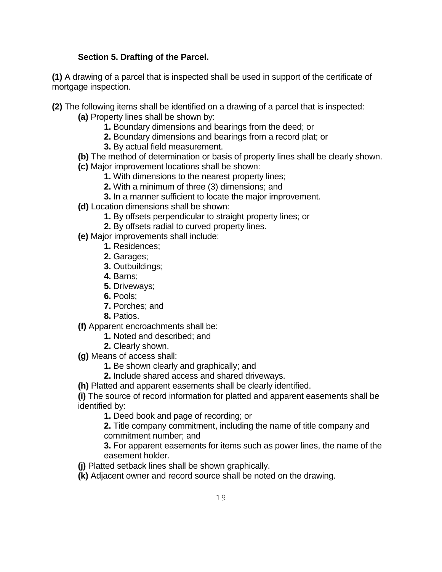#### **Section 5. Drafting of the Parcel.**

**(1)** A drawing of a parcel that is inspected shall be used in support of the certificate of mortgage inspection.

- **(2)** The following items shall be identified on a drawing of a parcel that is inspected: **(a)** Property lines shall be shown by:
	- **1.** Boundary dimensions and bearings from the deed; or
	- **2.** Boundary dimensions and bearings from a record plat; or
	- **3.** By actual field measurement.
	- **(b)** The method of determination or basis of property lines shall be clearly shown.
	- **(c)** Major improvement locations shall be shown:
		- **1.** With dimensions to the nearest property lines;
		- **2.** With a minimum of three (3) dimensions; and
		- **3.** In a manner sufficient to locate the major improvement.
	- **(d)** Location dimensions shall be shown:
		- **1.** By offsets perpendicular to straight property lines; or
		- **2.** By offsets radial to curved property lines.
	- **(e)** Major improvements shall include:
		- **1.** Residences;
			- **2.** Garages;
			- **3.** Outbuildings;
			- **4.** Barns;
			- **5.** Driveways;
			- **6.** Pools;
			- **7.** Porches; and
			- **8.** Patios.
	- **(f)** Apparent encroachments shall be:
		- **1.** Noted and described; and
		- **2.** Clearly shown.
	- **(g)** Means of access shall:
		- **1.** Be shown clearly and graphically; and
		- **2.** Include shared access and shared driveways.
	- **(h)** Platted and apparent easements shall be clearly identified.

**(i)** The source of record information for platted and apparent easements shall be identified by:

**1.** Deed book and page of recording; or

**2.** Title company commitment, including the name of title company and commitment number; and

**3.** For apparent easements for items such as power lines, the name of the easement holder.

**(j)** Platted setback lines shall be shown graphically.

**(k)** Adjacent owner and record source shall be noted on the drawing.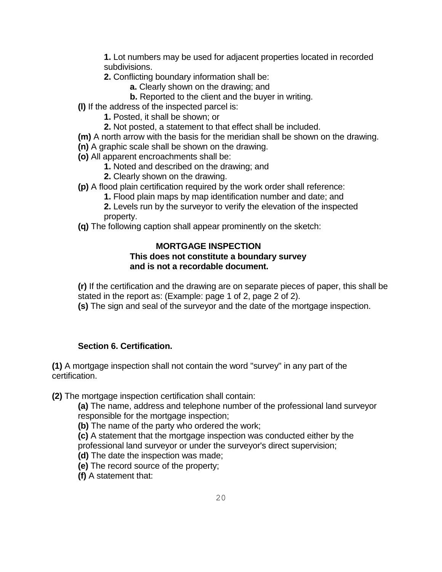**1.** Lot numbers may be used for adjacent properties located in recorded subdivisions.

- **2.** Conflicting boundary information shall be:
	- **a.** Clearly shown on the drawing; and
	- **b.** Reported to the client and the buyer in writing.
- **(l)** If the address of the inspected parcel is:
	- **1.** Posted, it shall be shown; or
	- **2.** Not posted, a statement to that effect shall be included.
- **(m)** A north arrow with the basis for the meridian shall be shown on the drawing.
- **(n)** A graphic scale shall be shown on the drawing.
- **(o)** All apparent encroachments shall be:
	- **1.** Noted and described on the drawing; and
	- **2.** Clearly shown on the drawing.
- **(p)** A flood plain certification required by the work order shall reference:
	- **1.** Flood plain maps by map identification number and date; and
	- **2.** Levels run by the surveyor to verify the elevation of the inspected property.
- **(q)** The following caption shall appear prominently on the sketch:

#### **MORTGAGE INSPECTION This does not constitute a boundary survey and is not a recordable document.**

**(r)** If the certification and the drawing are on separate pieces of paper, this shall be stated in the report as: (Example: page 1 of 2, page 2 of 2).

**(s)** The sign and seal of the surveyor and the date of the mortgage inspection.

#### **Section 6. Certification.**

**(1)** A mortgage inspection shall not contain the word "survey" in any part of the certification.

**(2)** The mortgage inspection certification shall contain:

**(a)** The name, address and telephone number of the professional land surveyor responsible for the mortgage inspection;

**(b)** The name of the party who ordered the work;

**(c)** A statement that the mortgage inspection was conducted either by the professional land surveyor or under the surveyor's direct supervision;

- **(d)** The date the inspection was made;
- **(e)** The record source of the property;

**(f)** A statement that: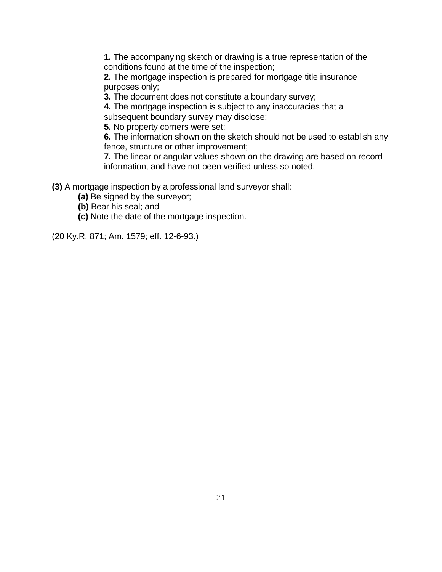**1.** The accompanying sketch or drawing is a true representation of the conditions found at the time of the inspection;

**2.** The mortgage inspection is prepared for mortgage title insurance purposes only;

**3.** The document does not constitute a boundary survey;

**4.** The mortgage inspection is subject to any inaccuracies that a subsequent boundary survey may disclose;

**5.** No property corners were set;

**6.** The information shown on the sketch should not be used to establish any fence, structure or other improvement;

**7.** The linear or angular values shown on the drawing are based on record information, and have not been verified unless so noted.

**(3)** A mortgage inspection by a professional land surveyor shall:

- **(a)** Be signed by the surveyor;
- **(b)** Bear his seal; and
- **(c)** Note the date of the mortgage inspection.

(20 Ky.R. 871; Am. 1579; eff. 12-6-93.)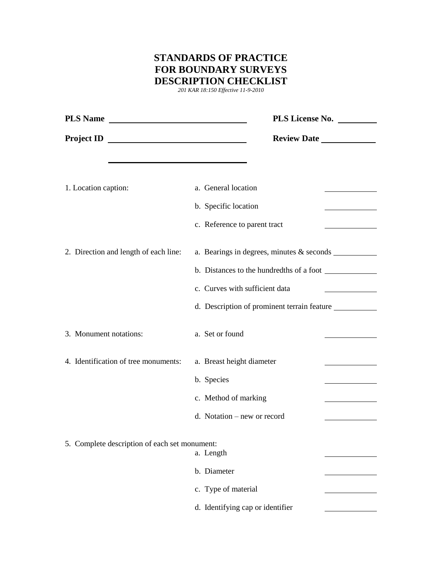### **STANDARDS OF PRACTICE FOR BOUNDARY SURVEYS DESCRIPTION CHECKLIST**

*201 KAR 18:150 Effective 11-9-2010*

| PLS Name                                      | PLS License No. _________                                                                              |
|-----------------------------------------------|--------------------------------------------------------------------------------------------------------|
| Project ID                                    |                                                                                                        |
| 1. Location caption:                          | a. General location<br>b. Specific location                                                            |
|                                               | c. Reference to parent tract<br>the company of the company of the                                      |
| 2. Direction and length of each line:         | a. Bearings in degrees, minutes $&$ seconds $\_\_\_\_\_\_\_\_\_\_\_$<br>c. Curves with sufficient data |
|                                               | d. Description of prominent terrain feature                                                            |
| 3. Monument notations:                        | a. Set or found                                                                                        |
| 4. Identification of tree monuments:          | a. Breast height diameter<br>b. Species                                                                |
|                                               | c. Method of marking<br>d. Notation – new or record                                                    |
| 5. Complete description of each set monument: | a. Length                                                                                              |
|                                               | b. Diameter                                                                                            |
|                                               | c. Type of material                                                                                    |
|                                               | d. Identifying cap or identifier                                                                       |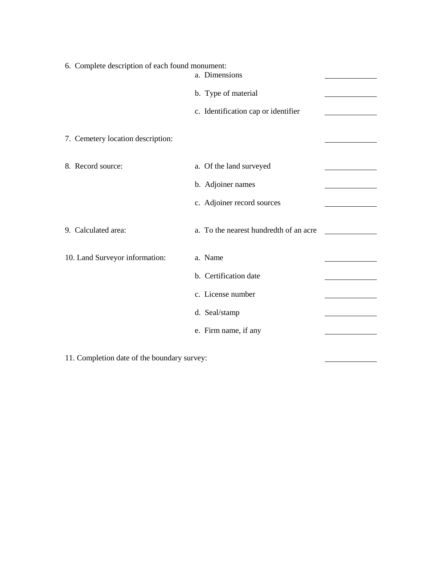| 6. Complete description of each found monument:<br>a. Dimensions |                                        |  |
|------------------------------------------------------------------|----------------------------------------|--|
|                                                                  | b. Type of material                    |  |
|                                                                  | c. Identification cap or identifier    |  |
| 7. Cemetery location description:                                |                                        |  |
| 8. Record source:                                                | a. Of the land surveyed                |  |
|                                                                  | b. Adjoiner names                      |  |
|                                                                  | c. Adjoiner record sources             |  |
| 9. Calculated area:                                              | a. To the nearest hundredth of an acre |  |
| 10. Land Surveyor information:                                   | a. Name                                |  |
|                                                                  | b. Certification date                  |  |
|                                                                  | c. License number                      |  |
|                                                                  | d. Seal/stamp                          |  |
|                                                                  | e. Firm name, if any                   |  |
|                                                                  |                                        |  |

11. Completion date of the boundary survey: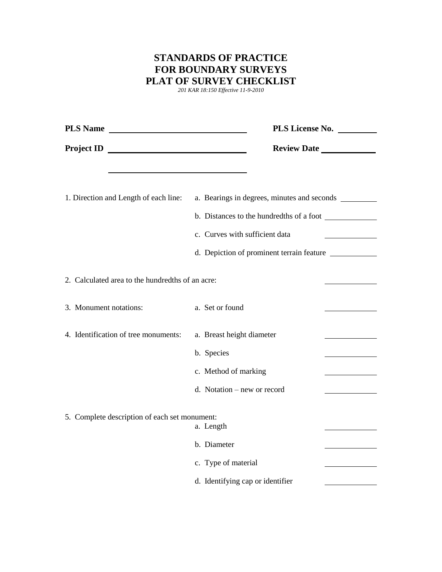### **STANDARDS OF PRACTICE FOR BOUNDARY SURVEYS PLAT OF SURVEY CHECKLIST**

*201 KAR 18:150 Effective 11-9-2010*

| PLS Name                                         | PLS License No.                                                                                                                                                            |
|--------------------------------------------------|----------------------------------------------------------------------------------------------------------------------------------------------------------------------------|
| Project ID                                       | Review Date                                                                                                                                                                |
| 1. Direction and Length of each line:            | a. Bearings in degrees, minutes and seconds<br>c. Curves with sufficient data<br><u> 1999 - Jan Barnett, fransk politiker</u><br>d. Depiction of prominent terrain feature |
| 2. Calculated area to the hundredths of an acre: |                                                                                                                                                                            |
| 3. Monument notations:                           | a. Set or found                                                                                                                                                            |
| 4. Identification of tree monuments:             | a. Breast height diameter<br>b. Species<br>c. Method of marking<br>d. Notation – new or record                                                                             |
| 5. Complete description of each set monument:    | a. Length<br>b. Diameter<br>c. Type of material<br>d. Identifying cap or identifier                                                                                        |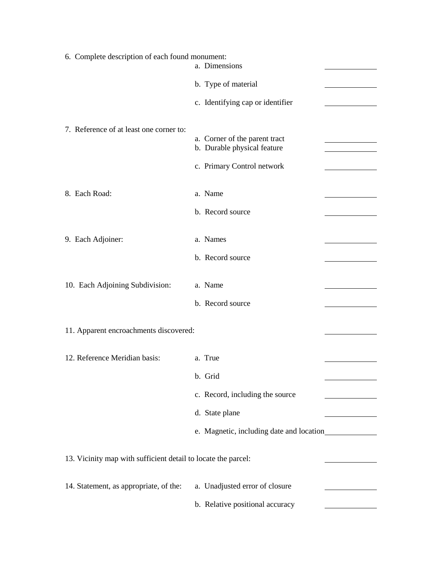| 6. Complete description of each found monument:<br>a. Dimensions |                                                                                            |  |  |  |
|------------------------------------------------------------------|--------------------------------------------------------------------------------------------|--|--|--|
|                                                                  | b. Type of material                                                                        |  |  |  |
|                                                                  | c. Identifying cap or identifier                                                           |  |  |  |
| 7. Reference of at least one corner to:                          | a. Corner of the parent tract<br>b. Durable physical feature<br>c. Primary Control network |  |  |  |
|                                                                  |                                                                                            |  |  |  |
| 8. Each Road:                                                    | a. Name                                                                                    |  |  |  |
|                                                                  | b. Record source                                                                           |  |  |  |
| 9. Each Adjoiner:                                                | a. Names                                                                                   |  |  |  |
|                                                                  | b. Record source                                                                           |  |  |  |
| 10. Each Adjoining Subdivision:                                  | a. Name                                                                                    |  |  |  |
|                                                                  | b. Record source                                                                           |  |  |  |
| 11. Apparent encroachments discovered:                           |                                                                                            |  |  |  |
| 12. Reference Meridian basis:                                    | a. True                                                                                    |  |  |  |
|                                                                  | b. Grid                                                                                    |  |  |  |
|                                                                  | c. Record, including the source                                                            |  |  |  |
|                                                                  | d. State plane                                                                             |  |  |  |
|                                                                  |                                                                                            |  |  |  |
| 13. Vicinity map with sufficient detail to locate the parcel:    |                                                                                            |  |  |  |
| 14. Statement, as appropriate, of the:                           | a. Unadjusted error of closure                                                             |  |  |  |
|                                                                  | b. Relative positional accuracy                                                            |  |  |  |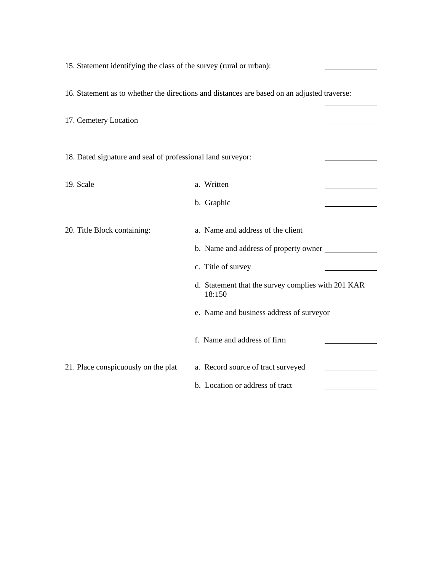16. Statement as to whether the directions and distances are based on an adjusted traverse: 17. Cemetery Location 18. Dated signature and seal of professional land surveyor: 19. Scale a. Written

15. Statement identifying the class of the survey (rural or urban):

20. Title Block containing: a. Name and address of the client b. Name and address of property owner c. Title of survey d. Statement that the survey complies with 201 KAR 18:150 e. Name and business address of surveyor f. Name and address of firm 21. Place conspicuously on the plat a. Record source of tract surveyed b. Location or address of tract

b. Graphic